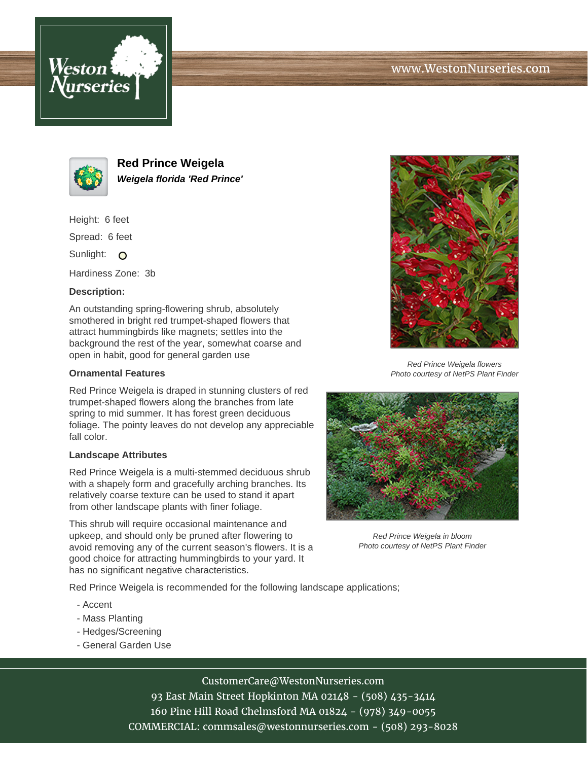



**Red Prince Weigela Weigela florida 'Red Prince'**

Height: 6 feet

Spread: 6 feet

Sunlight: O

Hardiness Zone: 3b

## **Description:**

An outstanding spring-flowering shrub, absolutely smothered in bright red trumpet-shaped flowers that attract hummingbirds like magnets; settles into the background the rest of the year, somewhat coarse and open in habit, good for general garden use

## **Ornamental Features**

Red Prince Weigela is draped in stunning clusters of red trumpet-shaped flowers along the branches from late spring to mid summer. It has forest green deciduous foliage. The pointy leaves do not develop any appreciable fall color.

## **Landscape Attributes**

Red Prince Weigela is a multi-stemmed deciduous shrub with a shapely form and gracefully arching branches. Its relatively coarse texture can be used to stand it apart from other landscape plants with finer foliage.

This shrub will require occasional maintenance and upkeep, and should only be pruned after flowering to avoid removing any of the current season's flowers. It is a good choice for attracting hummingbirds to your yard. It has no significant negative characteristics.

Red Prince Weigela is recommended for the following landscape applications;

- Accent
- Mass Planting
- Hedges/Screening
- General Garden Use



Photo courtesy of NetPS Plant Finder



Red Prince Weigela in bloom Photo courtesy of NetPS Plant Finder

CustomerCare@WestonNurseries.com

93 East Main Street Hopkinton MA 02148 - (508) 435-3414 160 Pine Hill Road Chelmsford MA 01824 - (978) 349-0055 COMMERCIAL: commsales@westonnurseries.com - (508) 293-8028